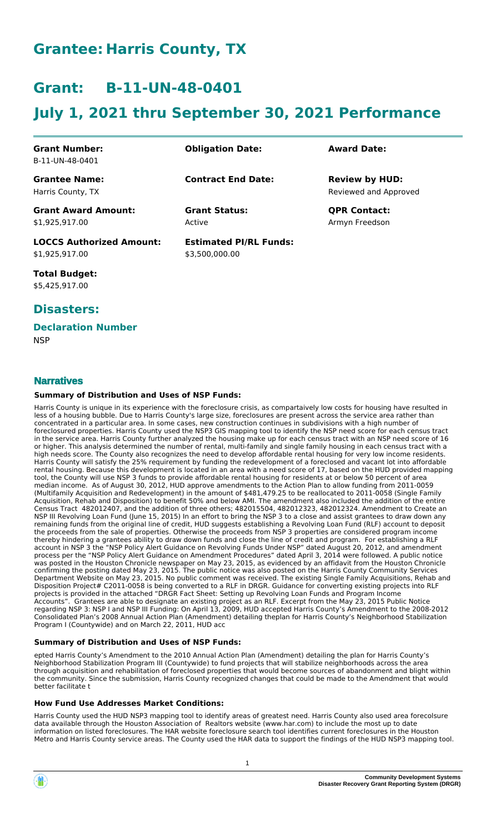# **Grantee: Harris County, TX**

# **Grant: B-11-UN-48-0401**

# **July 1, 2021 thru September 30, 2021 Performance**

| <b>Grant Number:</b><br>B-11-UN-48-0401           | <b>Obligation Date:</b>                         | <b>Award Date:</b>                             |
|---------------------------------------------------|-------------------------------------------------|------------------------------------------------|
| <b>Grantee Name:</b><br>Harris County, TX         | <b>Contract End Date:</b>                       | <b>Review by HUD:</b><br>Reviewed and Approved |
| <b>Grant Award Amount:</b><br>\$1,925,917.00      | <b>Grant Status:</b><br>Active                  | <b>QPR Contact:</b><br>Armyn Freedson          |
| <b>LOCCS Authorized Amount:</b><br>\$1,925,917.00 | <b>Estimated PI/RL Funds:</b><br>\$3,500,000.00 |                                                |

**Total Budget:** \$5,425,917.00

## **Disasters:**

### **Declaration Number**

**NSP** 

## **Narratives**

#### **Summary of Distribution and Uses of NSP Funds:**

Harris County is unique in its experience with the foreclosure crisis, as compartaively low costs for housing have resulted in less of a housing bubble. Due to Harris County's large size, foreclosures are present across the service area rather than concentrated in a particular area. In some cases, new construction continues in subdivisions with a high number of foreclosured properties. Harris County used the NSP3 GIS mapping tool to identify the NSP need score for each census tract in the service area. Harris County further analyzed the housing make up for each census tract with an NSP need score of 16 or higher. This analysis determined the number of rental, multi-family and single family housing in each census tract with a high needs score. The County also recognizes the need to develop affordable rental housing for very low income residents. Harris County will satisfy the 25% requirement by funding the redevelopment of a foreclosed and vacant lot into affordable rental housing. Because this development is located in an area with a need score of 17, based on the HUD provided mapping tool, the County will use NSP 3 funds to provide affordable rental housing for residents at or below 50 percent of area median income. As of August 30, 2012, HUD approve amendments to the Action Plan to allow funding from 2011-0059 (Multifamily Acquisition and Redevelopment) in the amount of \$481,479.25 to be reallocated to 2011-0058 (Single Family Acquisition, Rehab and Disposition) to benefit 50% and below AMI. The amendment also included the addition of the entire Census Tract 482012407, and the addition of three others; 482015504, 482012323, 482012324. Amendment to Create an NSP III Revolving Loan Fund (June 15, 2015) In an effort to bring the NSP 3 to a close and assist grantees to draw down any remaining funds from the original line of credit, HUD suggests establishing a Revolving Loan Fund (RLF) account to deposit the proceeds from the sale of properties. Otherwise the proceeds from NSP 3 properties are considered program income thereby hindering a grantees ability to draw down funds and close the line of credit and program. For establishing a RLF account in NSP 3 the "NSP Policy Alert Guidance on Revolving Funds Under NSP" dated August 20, 2012, and amendment process per the "NSP Policy Alert Guidance on Amendment Procedures" dated April 3, 2014 were followed. A public notice was posted in the Houston Chronicle newspaper on May 23, 2015, as evidenced by an affidavit from the Houston Chronicle confirming the posting dated May 23, 2015. The public notice was also posted on the Harris County Community Services Department Website on May 23, 2015. No public comment was received. The existing Single Family Acquisitions, Rehab and Disposition Project# C2011-0058 is being converted to a RLF in DRGR. Guidance for converting existing projects into RLF projects is provided in the attached "DRGR Fact Sheet: Setting up Revolving Loan Funds and Program Income Accounts". Grantees are able to designate an existing project as an RLF. Excerpt from the May 23, 2015 Public Notice regarding NSP 3: NSP I and NSP III Funding: On April 13, 2009, HUD accepted Harris County's Amendment to the 2008-2012 Consolidated Plan's 2008 Annual Action Plan (Amendment) detailing theplan for Harris County's Neighborhood Stabilization Program I (Countywide) and on March 22, 2011, HUD acc

#### **Summary of Distribution and Uses of NSP Funds:**

epted Harris County's Amendment to the 2010 Annual Action Plan (Amendment) detailing the plan for Harris County's Neighborhood Stabilization Program III (Countywide) to fund projects that will stabilize neighborhoods across the area through acquisition and rehabilitation of foreclosed properties that would become sources of abandonment and blight within the community. Since the submission, Harris County recognized changes that could be made to the Amendment that would better facilitate t

#### **How Fund Use Addresses Market Conditions:**

Harris County used the HUD NSP3 mapping tool to identify areas of greatest need. Harris County also used area forecolsure data available through the Houston Association of Realtors website (www.har.com) to include the most up to date information on listed foreclosures. The HAR website foreclosure search tool identifies current foreclosures in the Houston Metro and Harris County service areas. The County used the HAR data to support the findings of the HUD NSP3 mapping tool.

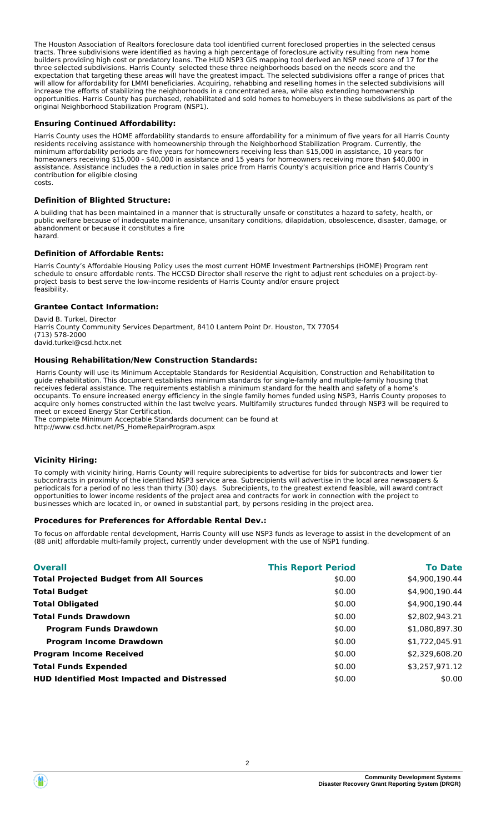The Houston Association of Realtors foreclosure data tool identified current foreclosed properties in the selected census tracts. Three subdivisions were identified as having a high percentage of foreclosure activity resulting from new home builders providing high cost or predatory loans. The HUD NSP3 GIS mapping tool derived an NSP need score of 17 for the three selected subdivisions. Harris County selected these three neighborhoods based on the needs score and the expectation that targeting these areas will have the greatest impact. The selected subdivisions offer a range of prices that will allow for affordability for LMMI beneficiaries. Acquiring, rehabbing and reselling homes in the selected subdivisions will increase the efforts of stabilizing the neighborhoods in a concentrated area, while also extending homeownership opportunities. Harris County has purchased, rehabilitated and sold homes to homebuyers in these subdivisions as part of the original Neighborhood Stabilization Program (NSP1).

#### **Ensuring Continued Affordability:**

Harris County uses the HOME affordability standards to ensure affordability for a minimum of five years for all Harris County residents receiving assistance with homeownership through the Neighborhood Stabilization Program. Currently, the minimum affordability periods are five years for homeowners receiving less than \$15,000 in assistance, 10 years for homeowners receiving \$15,000 - \$40,000 in assistance and 15 years for homeowners receiving more than \$40,000 in assistance. Assistance includes the a reduction in sales price from Harris County's acquisition price and Harris County's contribution for eligible closing<br>costs. costs. The cost of the cost of the cost of the cost of the cost of the cost of the cost of the cost of the cost

#### **Definition of Blighted Structure:**

A building that has been maintained in a manner that is structurally unsafe or constitutes a hazard to safety, health, or public welfare because of inadequate maintenance, unsanitary conditions, dilapidation, obsolescence, disaster, damage, or abandonment or because it constitutes a fire hazard.

#### **Definition of Affordable Rents:**

Harris County's Affordable Housing Policy uses the most current HOME Investment Partnerships (HOME) Program rent schedule to ensure affordable rents. The HCCSD Director shall reserve the right to adjust rent schedules on a project-byproject basis to best serve the low-income residents of Harris County and/or ensure project feasibility. feasibility.

#### **Grantee Contact Information:**

David B. Turkel, Director Harris County Community Services Department, 8410 Lantern Point Dr. Houston, TX 77054 (713) 578-2000 david.turkel@csd.hctx.net

#### **Housing Rehabilitation/New Construction Standards:**

 Harris County will use its Minimum Acceptable Standards for Residential Acquisition, Construction and Rehabilitation to guide rehabilitation. This document establishes minimum standards for single-family and multiple-family housing that receives federal assistance. The requirements establish a minimum standard for the health and safety of a home's occupants. To ensure increased energy efficiency in the single family homes funded using NSP3, Harris County proposes to acquire only homes constructed within the last twelve years. Multifamily structures funded through NSP3 will be required to meet or exceed Energy Star Certification.

The complete Minimum Acceptable Standards document can be found at http://www.csd.hctx.net/PS\_HomeRepairProgram.aspx

#### **Vicinity Hiring:**

To comply with vicinity hiring, Harris County will require subrecipients to advertise for bids for subcontracts and lower tier subcontracts in proximity of the identified NSP3 service area. Subrecipients will advertise in the local area newspapers & periodicals for a period of no less than thirty (30) days. Subrecipients, to the greatest extend feasible, will award contract opportunities to lower income residents of the project area and contracts for work in connection with the project to businesses which are located in, or owned in substantial part, by persons residing in the project area.

#### **Procedures for Preferences for Affordable Rental Dev.:**

To focus on affordable rental development, Harris County will use NSP3 funds as leverage to assist in the development of an (88 unit) affordable multi-family project, currently under development with the use of NSP1 funding.

| <b>Overall</b>                                     | <b>This Report Period</b> | <b>To Date</b> |
|----------------------------------------------------|---------------------------|----------------|
| <b>Total Projected Budget from All Sources</b>     | \$0.00                    | \$4,900,190.44 |
| <b>Total Budget</b>                                | \$0.00                    | \$4,900,190.44 |
| <b>Total Obligated</b>                             | \$0.00                    | \$4,900,190.44 |
| <b>Total Funds Drawdown</b>                        | \$0.00                    | \$2,802,943.21 |
| <b>Program Funds Drawdown</b>                      | \$0.00                    | \$1,080,897.30 |
| <b>Program Income Drawdown</b>                     | \$0.00                    | \$1,722,045.91 |
| <b>Program Income Received</b>                     | \$0.00                    | \$2,329,608.20 |
| <b>Total Funds Expended</b>                        | \$0.00                    | \$3,257,971.12 |
| <b>HUD Identified Most Impacted and Distressed</b> | \$0.00                    | \$0.00         |

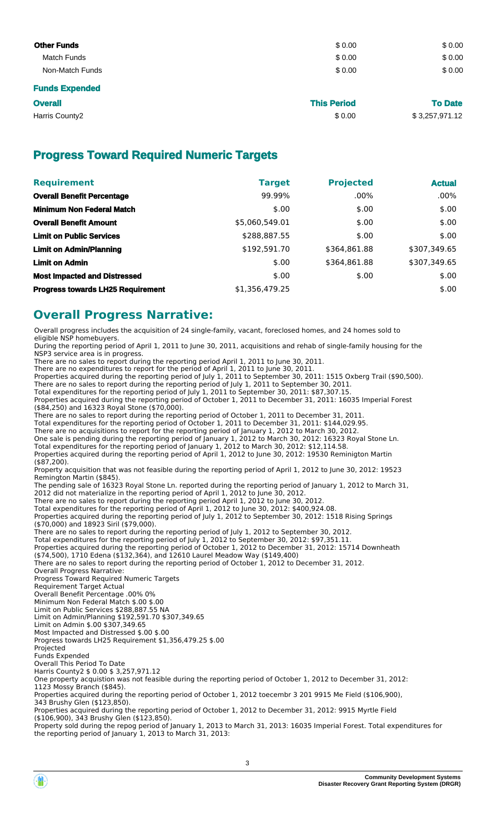| <b>Other Funds</b>    | \$0.00 | \$0.00 |
|-----------------------|--------|--------|
| Match Funds           | \$0.00 | \$0.00 |
| Non-Match Funds       | \$0.00 | \$0.00 |
| <b>Funds Expended</b> |        |        |

| <b>Overall</b> | <b>This Period</b> | <b>To Date</b> |
|----------------|--------------------|----------------|
| Harris County2 | \$0.00             | \$3,257,971.12 |

# **Progress Toward Required Numeric Targets**

| <b>Requirement</b>                       | <b>Target</b>  | <b>Projected</b> | <b>Actual</b> |
|------------------------------------------|----------------|------------------|---------------|
| <b>Overall Benefit Percentage</b>        | 99.99%         | $.00\%$          | $.00\%$       |
| <b>Minimum Non Federal Match</b>         | \$.00          | \$.00            | \$.00         |
| <b>Overall Benefit Amount</b>            | \$5,060,549.01 | \$.00            | \$.00         |
| <b>Limit on Public Services</b>          | \$288,887.55   | \$.00            | \$.00         |
| <b>Limit on Admin/Planning</b>           | \$192,591.70   | \$364,861.88     | \$307,349.65  |
| <b>Limit on Admin</b>                    | \$.00          | \$364,861.88     | \$307,349.65  |
| <b>Most Impacted and Distressed</b>      | \$.00          | \$.00            | \$.00         |
| <b>Progress towards LH25 Requirement</b> | \$1,356,479.25 |                  | \$.00         |

## **Overall Progress Narrative:**

Overall progress includes the acquisition of 24 single-family, vacant, foreclosed homes, and 24 homes sold to eligible NSP homebuyers.

During the reporting period of April 1, 2011 to June 30, 2011, acquisitions and rehab of single-family housing for the NSP3 service area is in progress.

There are no sales to report during the reporting period April 1, 2011 to June 30, 2011. There are no expenditures to report for the period of April 1, 2011 to June 30, 2011.

Properties acquired during the reporting period of July 1, 2011 to September 30, 2011: 1515 Oxberg Trail (\$90,500).

There are no sales to report during the reporting period of July 1, 2011 to September 30, 2011.

Total expenditures for the reporting period of July 1, 2011 to September 30, 2011: \$87,307.15.

Properties acquired during the reporting period of October 1, 2011 to December 31, 2011: 16035 Imperial Forest (\$84,250) and 16323 Royal Stone (\$70,000).

There are no sales to report during the reporting period of October 1, 2011 to December 31, 2011.

Total expenditures for the reporting period of October 1, 2011 to December 31, 2011: \$144,029.95.

There are no acquisitions to report for the reporting period of January 1, 2012 to March 30, 2012. One sale is pending during the reporting period of January 1, 2012 to March 30, 2012: 16323 Royal Stone Ln.

Total expenditures for the reporting period of January 1, 2012 to March 30, 2012: \$12,114.58.

Properties acquired during the reporting period of April 1, 2012 to June 30, 2012: 19530 Reminigton Martin (\$87,200).

Property acquisition that was not feasible during the reporting period of April 1, 2012 to June 30, 2012: 19523 Remington Martin (\$845).

The pending sale of 16323 Royal Stone Ln. reported during the reporting period of January 1, 2012 to March 31,

2012 did not materialize in the reporting period of April 1, 2012 to June 30, 2012.

There are no sales to report during the reporting period April 1, 2012 to June 30, 2012. Total expenditures for the reporting period of April 1, 2012 to June 30, 2012: \$400,924.08.

Properties acquired during the reporting period of July 1, 2012 to September 30, 2012: 1518 Rising Springs (\$70,000) and 18923 Siril (\$79,000).

There are no sales to report during the reporting period of July 1, 2012 to September 30, 2012.

Total expenditures for the reporting period of July 1, 2012 to September 30, 2012: \$97,351.11. Properties acquired during the reporting period of October 1, 2012 to December 31, 2012: 15714 Downheath (\$74,500), 1710 Edena (\$132,364), and 12610 Laurel Meadow Way (\$149,400)

There are no sales to report during the reporting period of October 1, 2012 to December 31, 2012.

Overall Progress Narrative:

Progress Toward Required Numeric Targets

Requirement Target Actual

Overall Benefit Percentage .00% 0% Minimum Non Federal Match \$.00 \$.00

Limit on Public Services \$288,887.55 NA

Limit on Admin/Planning \$192,591.70 \$307,349.65

Limit on Admin \$.00 \$307,349.65

Most Impacted and Distressed \$.00 \$.00

Progress towards LH25 Requirement \$1,356,479.25 \$.00

Projected Funds Expended

Overall This Period To Date

Harris County2 \$ 0.00 \$ 3,257,971.12

One property acquistion was not feasible during the reporting period of October 1, 2012 to December 31, 2012: 1123 Mossy Branch (\$845).

Properties acquired during the reporting period of October 1, 2012 toecembr 3 201 9915 Me Field (\$106,900),

343 Brushy Glen (\$123,850).

Properties acquired during the reporting period of October 1, 2012 to December 31, 2012: 9915 Myrtle Field

(\$106,900), 343 Brushy Glen (\$123,850).

Property sold during the repog period of January 1, 2013 to March 31, 2013: 16035 Imperial Forest. Total expenditures for the reporting period of January 1, 2013 to March 31, 2013: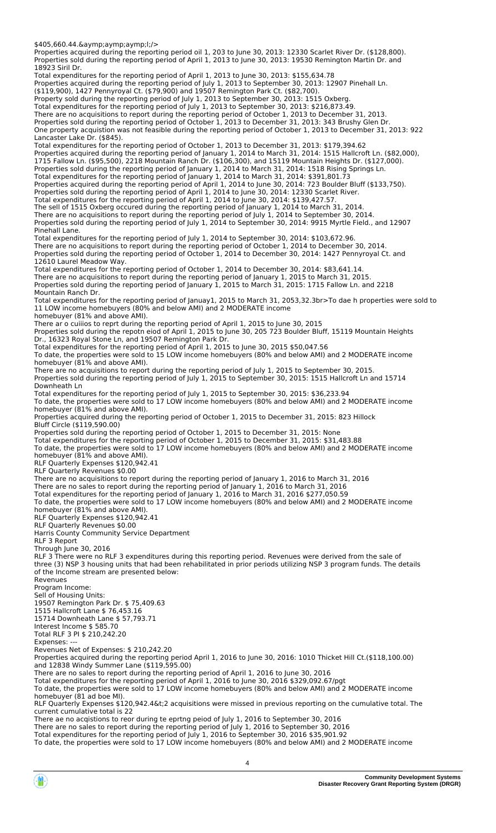\$405,660.44.&aymp;aymp;aymp;l;/>

Properties acquired during the reporting period oil 1, 203 to June 30, 2013: 12330 Scarlet River Dr. (\$128,800). Properties sold during the reporting period of April 1, 2013 to June 30, 2013: 19530 Remington Martin Dr. and

18923 Siril Dr. Total expenditures for the reporting period of April 1, 2013 to June 30, 2013: \$155,634.78 Properties acquired during the reporting period of July 1, 2013 to September 30, 2013: 12907 Pinehall Ln. (\$119,900), 1427 Pennyroyal Ct. (\$79,900) and 19507 Remington Park Ct. (\$82,700). Property sold during the reporting period of July 1, 2013 to September 30, 2013: 1515 Oxberg. Total expenditures for the reporting period of July 1, 2013 to September 30, 2013: \$216,873.49. There are no acquisitions to report during the reporting period of October 1, 2013 to December 31, 2013. Properties sold during the reporting period of October 1, 2013 to December 31, 2013: 343 Brushy Glen Dr. One property acquistion was not feasible during the reporting period of October 1, 2013 to December 31, 2013: 922 Lancaster Lake Dr. (\$845). Total expenditures for the reporting period of October 1, 2013 to December 31, 2013: \$179,394.62 Properties acquired during the reporting period of January 1, 2014 to March 31, 2014: 1515 Hallcroft Ln. (\$82,000), 1715 Fallow Ln. (\$95,500), 2218 Mountain Ranch Dr. (\$106,300), and 15119 Mountain Heights Dr. (\$127,000). Properties sold during the reporting period of January 1, 2014 to March 31, 2014: 1518 Rising Springs Ln. Total expenditures for the reporting period of January 1, 2014 to March 31, 2014: \$391,801.73 Properties acquired during the reporting period of April 1, 2014 to June 30, 2014: 723 Boulder Bluff (\$133,750). Properties sold during the reporting period of April 1, 2014 to June 30, 2014: 12330 Scarlet River. Total expenditures for the reporting period of April 1, 2014 to June 30, 2014: \$139,427.57. The sell of 1515 Oxberg occured during the reporting period of January 1, 2014 to March 31, 2014. There are no acquisitions to report during the reporting period of July 1, 2014 to September 30, 2014. Properties sold during the reporting period of July 1, 2014 to September 30, 2014: 9915 Myrtle Field., and 12907 Pinehall Lane. Total expenditures for the reporting period of July 1, 2014 to September 30, 2014: \$103,672.96. There are no acquisitions to report during the reporting period of October 1, 2014 to December 30, 2014. Properties sold during the reporting period of October 1, 2014 to December 30, 2014: 1427 Pennyroyal Ct. and 12610 Laurel Meadow Way. Total expenditures for the reporting period of October 1, 2014 to December 30, 2014: \$83,641.14. There are no acquisitions to report during the reporting period of January 1, 2015 to March 31, 2015. Properties sold during the reporting period of January 1, 2015 to March 31, 2015: 1715 Fallow Ln. and 2218 Mountain Ranch Dr. Total expenditures for the reporting period of Januay1, 2015 to March 31, 2053,32.3br>To dae h properties were sold to 11 LOW income homebuyers (80% and below AMI) and 2 MODERATE income homebuyer (81% and above AMI). There ar o cuiiios to reprt during the reporting period of April 1, 2015 to June 30, 2015 Properties sold during the repotn eiod of April 1, 2015 to June 30, 205 723 Boulder Bluff, 15119 Mountain Heights Dr., 16323 Royal Stone Ln, and 19507 Remington Park Dr. Total expenditures for the reporting period of April 1, 2015 to June 30, 2015 \$50,047.56 To date, the properties were sold to 15 LOW income homebuyers (80% and below AMI) and 2 MODERATE income homebuyer (81% and above AMI). There are no acquisitions to report during the reporting period of July 1, 2015 to September 30, 2015. Properties sold during the reporting period of July 1, 2015 to September 30, 2015: 1515 Hallcroft Ln and 15714 Downheath Ln Total expenditures for the reporting period of July 1, 2015 to September 30, 2015: \$36,233.94 To date, the properties were sold to 17 LOW income homebuyers (80% and below AMI) and 2 MODERATE income homebuyer (81% and above AMI). Properties acquired during the reporting period of October 1, 2015 to December 31, 2015: 823 Hillock Bluff Circle (\$119,590.00) Properties sold during the reporting period of October 1, 2015 to December 31, 2015: None Total expenditures for the reporting period of October 1, 2015 to December 31, 2015: \$31,483.88 To date, the properties were sold to 17 LOW income homebuyers (80% and below AMI) and 2 MODERATE income homebuyer (81% and above AMI). RLF Quarterly Expenses \$120,942.41 RLF Quarterly Revenues \$0.00 There are no acquisitions to report during the reporting period of January 1, 2016 to March 31, 2016 There are no sales to report during the reporting period of January 1, 2016 to March 31, 2016 Total expenditures for the reporting period of January 1, 2016 to March 31, 2016 \$277,050.59 To date, the properties were sold to 17 LOW income homebuyers (80% and below AMI) and 2 MODERATE income homebuyer (81% and above AMI). RLF Quarterly Expenses \$120,942.41 RLF Quarterly Revenues \$0.00 Harris County Community Service Department RLF 3 Report Through June 30, 2016 RLF 3 There were no RLF 3 expenditures during this reporting period. Revenues were derived from the sale of three (3) NSP 3 housing units that had been rehabilitated in prior periods utilizing NSP 3 program funds. The details of the Income stream are presented below: Revenues Program Income: Sell of Housing Units: 19507 Remington Park Dr. \$ 75,409.63 1515 Hallcroft Lane \$ 76,453.16 15714 Downheath Lane \$ 57,793.71 Interest Income \$ 585.70 Total RLF 3 PI \$ 210,242.20 Expenses: Revenues Net of Expenses: \$ 210,242.20 Properties acquired during the reporting period April 1, 2016 to June 30, 2016: 1010 Thicket Hill Ct.(\$118,100.00) and 12838 Windy Summer Lane (\$119,595.00) There are no sales to report during the reporting period of April 1, 2016 to June 30, 2016 Total expenditures for the reporting period of April 1, 2016 to June 30, 2016 \$329,092.67/pgt To date, the properties were sold to 17 LOW income homebuyers (80% and below AMI) and 2 MODERATE income homebuyer (81 ad boe MI). RLF Quarterly Expenses \$120,942.4&t;2 acquisitions were missed in previous reporting on the cumulative total. The

current cumulative total is 22 There ae no acqistions to reor during te eprtng peiod of July 1, 2016 to September 30, 2016

There are no sales to report during the reporting period of July 1, 2016 to September 30, 2016

Total expenditures for the reporting period of July 1, 2016 to September 30, 2016 \$35,901.92

To date, the properties were sold to 17 LOW income homebuyers (80% and below AMI) and 2 MODERATE income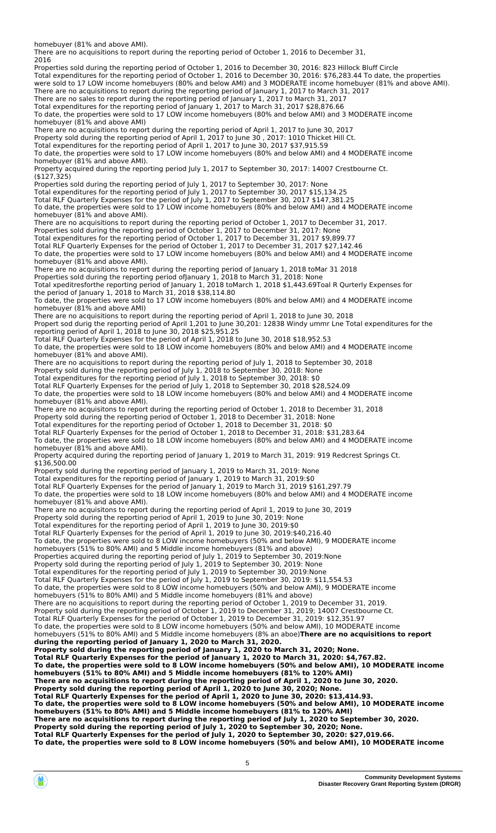homebuyer (81% and above AMI).

There are no acquisitions to report during the reporting period of October 1, 2016 to December 31,

2016 Properties sold during the reporting period of October 1, 2016 to December 30, 2016: 823 Hillock Bluff Circle Total expenditures for the reporting period of October 1, 2016 to December 30, 2016: \$76,283.44 To date, the properties were sold to 17 LOW income homebuyers (80% and below AMI) and 3 MODERATE income homebuyer (81% and above AMI). There are no acquisitions to report during the reporting period of January 1, 2017 to March 31, 2017 There are no sales to report during the reporting period of January 1, 2017 to March 31, 2017 Total expenditures for the reporting period of January 1, 2017 to March 31, 2017 \$28,876.66 To date, the properties were sold to 17 LOW income homebuyers (80% and below AMI) and 3 MODERATE income homebuyer (81% and above AMI) There are no acquisitions to report during the reporting period of April 1, 2017 to June 30, 2017 Property sold during the reporting period of April 1, 2017 to June 30 , 2017: 1010 Thicket Hill Ct. Total expenditures for the reporting period of April 1, 2017 to June 30, 2017 \$37,915.59 To date, the properties were sold to 17 LOW income homebuyers (80% and below AMI) and 4 MODERATE income homebuyer (81% and above AMI). Property acquired during the reporting period July 1, 2017 to September 30, 2017: 14007 Crestbourne Ct. (\$127,325) Properties sold during the reporting period of July 1, 2017 to September 30, 2017: None Total expenditures for the reporting period of July 1, 2017 to September 30, 2017 \$15,134.25 Total RLF Quarterly Expenses for the period of July 1, 2017 to September 30, 2017 \$147,381.25 To date, the properties were sold to 17 LOW income homebuyers (80% and below AMI) and 4 MODERATE income homebuyer (81% and above AMI). There are no acquisitions to report during the reporting period of October 1, 2017 to December 31, 2017. Properties sold during the reporting period of October 1, 2017 to December 31, 2017: None Total expenditures for the reporting period of October 1, 2017 to December 31, 2017 \$9,899.77 Total RLF Quarterly Expenses for the period of October 1, 2017 to December 31, 2017 \$27,142.46 To date, the properties were sold to 17 LOW income homebuyers (80% and below AMI) and 4 MODERATE income homebuyer (81% and above AMI). There are no acquisitions to report during the reporting period of January 1, 2018 toMar 31 2018 Properties sold during the reporting period ofJanuary 1, 2018 to March 31, 2018: None Total xpeditresforthe reporting period of January 1, 2018 toMarch 1, 2018 \$1,443.69Toal R Qurterly Expenses for the period of January 1, 2018 to March 31, 2018 \$38,114.80 To date, the properties were sold to 17 LOW income homebuyers (80% and below AMI) and 4 MODERATE income homebuyer (81% and above AMI) There are no acquisitions to report during the reporting period of April 1, 2018 to June 30, 2018 Propert sod durig the reporting period of April 1,201 to June 30,201: 12838 Windy ummr Lne Total expenditures for the reporting period of April 1, 2018 to June 30, 2018 \$25,951.25 Total RLF Quarterly Expenses for the period of April 1, 2018 to June 30, 2018 \$18,952.53 To date, the properties were sold to 18 LOW income homebuyers (80% and below AMI) and 4 MODERATE income homebuyer (81% and above AMI). There are no acquisitions to report during the reporting period of July 1, 2018 to September 30, 2018 Property sold during the reporting period of July 1, 2018 to September 30, 2018: None Total expenditures for the reporting period of July 1, 2018 to September 30, 2018: \$0 Total RLF Quarterly Expenses for the period of July 1, 2018 to September 30, 2018 \$28,524.09 To date, the properties were sold to 18 LOW income homebuyers (80% and below AMI) and 4 MODERATE income homebuyer (81% and above AMI). There are no acquisitons to report during the reporting period of October 1, 2018 to December 31, 2018 Property sold during the reporting period of October 1, 2018 to December 31, 2018: None Total expenditures for the reporting period of October 1, 2018 to December 31, 2018: \$0 Total RLF Quarterly Expenses for the period of October 1, 2018 to December 31, 2018: \$31,283.64 To date, the properties were sold to 18 LOW income homebuyers (80% and below AMI) and 4 MODERATE income homebuyer (81% and above AMI). Property acquired during the reporting period of January 1, 2019 to March 31, 2019: 919 Redcrest Springs Ct. \$136,500.00 Property sold during the reporting period of January 1, 2019 to March 31, 2019: None Total expenditures for the reporting period of January 1, 2019 to March 31, 2019:\$0 Total RLF Quarterly Expenses for the period of January 1, 2019 to March 31, 2019 \$161,297.79 To date, the properties were sold to 18 LOW income homebuyers (80% and below AMI) and 4 MODERATE income homebuyer (81% and above AMI). There are no acquisitons to report during the reporting period of April 1, 2019 to June 30, 2019 Property sold during the reporting period of April 1, 2019 to June 30, 2019: None Total expenditures for the reporting period of April 1, 2019 to June 30, 2019:\$0 Total RLF Quarterly Expenses for the period of April 1, 2019 to June 30, 2019:\$40,216.40 To date, the properties were sold to 8 LOW income homebuyers (50% and below AMI), 9 MODERATE income homebuyers (51% to 80% AMI) and 5 Middle income homebuyers (81% and above) Properties acquired during the reporting period of July 1, 2019 to September 30, 2019:None Property sold during the reporting period of July 1, 2019 to September 30, 2019: None Total expenditures for the reporting period of July 1, 2019 to September 30, 2019:None Total RLF Quarterly Expenses for the period of July 1, 2019 to September 30, 2019: \$11,554.53 To date, the properties were sold to 8 LOW income homebuyers (50% and below AMI), 9 MODERATE income homebuyers (51% to 80% AMI) and 5 Middle income homebuyers (81% and above) There are no acquisitions to report during the reporting period of October 1, 2019 to December 31, 2019. Property sold during the reporting period of October 1, 2019 to December 31, 2019; 14007 Crestbourne Ct. Total RLF Quarterly Expenses for the period of October 1, 2019 to December 31, 2019: \$12,351.97 To date, the properties were sold to 8 LOW income homebuyers (50% and below AMI), 10 MODERATE income homebuyers (51% to 80% AMI) and 5 Middle income homebuyers (8% an aboe)**There are no acquisitions to report during the reporting period of January 1, 2020 to March 31, 2020. Property sold during the reporting period of January 1, 2020 to March 31, 2020; None. Total RLF Quarterly Expenses for the period of January 1, 2020 to March 31, 2020: \$4,767.82. To date, the properties were sold to 8 LOW income homebuyers (50% and below AMI), 10 MODERATE income homebuyers (51% to 80% AMI) and 5 Middle income homebuyers (81% to 120% AMI) There are no acquisitions to report during the reporting period of April 1, 2020 to June 30, 2020. Property sold during the reporting period of April 1, 2020 to June 30, 2020; None. Total RLF Quarterly Expenses for the period of April 1, 2020 to June 30, 2020: \$13,414.93. To date, the properties were sold to 8 LOW income homebuyers (50% and below AMI), 10 MODERATE income homebuyers (51% to 80% AMI) and 5 Middle income homebuyers (81% to 120% AMI) There are no acquisitions to report during the reporting period of July 1, 2020 to September 30, 2020. Property sold during the reporting period of July 1, 2020 to September 30, 2020; None. Total RLF Quarterly Expenses for the period of July 1, 2020 to September 30, 2020: \$27,019.66. To date, the properties were sold to 8 LOW income homebuyers (50% and below AMI), 10 MODERATE income**